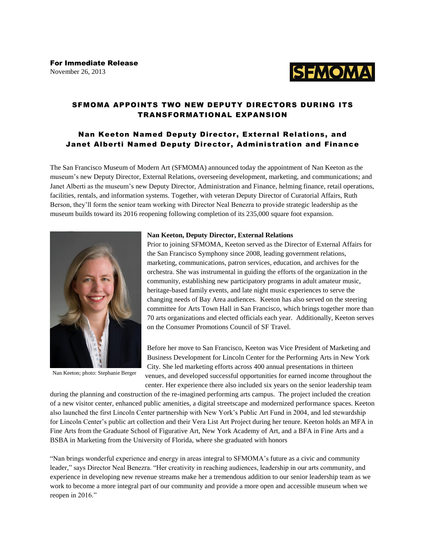

# SFMOMA APPOINTS TWO NEW DEPUTY DIRECTORS DURING ITS TRANSFORMATIONAL EXPANSION

## Nan Keeton Named Deputy Director, External Relations, and Janet Alberti Named Deputy Director, Administration and Finance

The San Francisco Museum of Modern Art (SFMOMA) announced today the appointment of Nan Keeton as the museum's new Deputy Director, External Relations, overseeing development, marketing, and communications; and Janet Alberti as the museum's new Deputy Director, Administration and Finance, helming finance, retail operations, facilities, rentals, and information systems. Together, with veteran Deputy Director of Curatorial Affairs, Ruth Berson, they'll form the senior team working with Director Neal Benezra to provide strategic leadership as the museum builds toward its 2016 reopening following completion of its 235,000 square foot expansion.



Nan Keeton; photo: Stephanie Berger

#### **Nan Keeton, Deputy Director, External Relations**

Prior to joining SFMOMA, Keeton served as the Director of External Affairs for the San Francisco Symphony since 2008, leading government relations, marketing, communications, patron services, education, and archives for the orchestra. She was instrumental in guiding the efforts of the organization in the community, establishing new participatory programs in adult amateur music, heritage-based family events, and late night music experiences to serve the changing needs of Bay Area audiences. Keeton has also served on the steering committee for Arts Town Hall in San Francisco, which brings together more than 70 arts organizations and elected officials each year. Additionally, Keeton serves on the Consumer Promotions Council of SF Travel.

Before her move to San Francisco, Keeton was Vice President of Marketing and Business Development for Lincoln Center for the Performing Arts in New York City. She led marketing efforts across 400 annual presentations in thirteen venues, and developed successful opportunities for earned income throughout the center. Her experience there also included six years on the senior leadership team

during the planning and construction of the re-imagined performing arts campus. The project included the creation of a new visitor center, enhanced public amenities, a digital streetscape and modernized performance spaces. Keeton also launched the first Lincoln Center partnership with New York's Public Art Fund in 2004, and led stewardship for Lincoln Center's public art collection and their Vera List Art Project during her tenure. Keeton holds an MFA in Fine Arts from the Graduate School of Figurative Art, New York Academy of Art, and a BFA in Fine Arts and a BSBA in Marketing from the University of Florida, where she graduated with honors

"Nan brings wonderful experience and energy in areas integral to SFMOMA's future as a civic and community leader," says Director Neal Benezra. "Her creativity in reaching audiences, leadership in our arts community, and experience in developing new revenue streams make her a tremendous addition to our senior leadership team as we work to become a more integral part of our community and provide a more open and accessible museum when we reopen in 2016."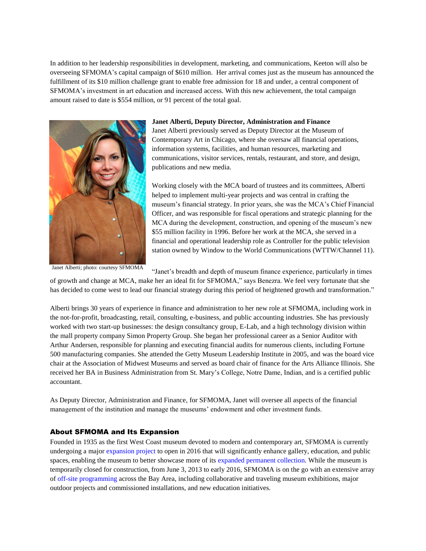In addition to her leadership responsibilities in development, marketing, and communications, Keeton will also be overseeing SFMOMA's capital campaign of \$610 million. Her arrival comes just as the museum has announced the fulfillment of its \$10 million challenge grant to enable free admission for 18 and under, a central component of SFMOMA's investment in art education and increased access. With this new achievement, the total campaign amount raised to date is \$554 million, or 91 percent of the total goal.



#### **Janet Alberti, Deputy Director, Administration and Finance**

Janet Alberti previously served as Deputy Director at the Museum of Contemporary Art in Chicago, where she oversaw all financial operations, information systems, facilities, and human resources, marketing and communications, visitor services, rentals, restaurant, and store, and design, publications and new media.

Working closely with the MCA board of trustees and its committees, Alberti helped to implement multi-year projects and was central in crafting the museum's financial strategy. In prior years, she was the MCA's Chief Financial Officer, and was responsible for fiscal operations and strategic planning for the MCA during the development, construction, and opening of the museum's new \$55 million facility in 1996. Before her work at the MCA, she served in a financial and operational leadership role as Controller for the public television station owned by Window to the World Communications (WTTW/Channel 11).

Janet Alberti; photo: courtesy SFMOMA

"Janet's breadth and depth of museum finance experience, particularly in times

of growth and change at MCA, make her an ideal fit for SFMOMA," says Benezra. We feel very fortunate that she has decided to come west to lead our financial strategy during this period of heightened growth and transformation."

Alberti brings 30 years of experience in finance and administration to her new role at SFMOMA, including work in the not-for-profit, broadcasting, retail, consulting, e-business, and public accounting industries. She has previously worked with two start-up businesses: the design consultancy group, E-Lab, and a high technology division within the mall property company Simon Property Group. She began her professional career as a Senior Auditor with Arthur Andersen, responsible for planning and executing financial audits for numerous clients, including Fortune 500 manufacturing companies. She attended the Getty Museum Leadership Institute in 2005, and was the board vice chair at the Association of Midwest Museums and served as board chair of finance for the Arts Alliance Illinois. She received her BA in Business Administration from St. Mary's College, Notre Dame, Indian, and is a certified public accountant.

As Deputy Director, Administration and Finance, for SFMOMA, Janet will oversee all aspects of the financial management of the institution and manage the museums' endowment and other investment funds.

### About SFMOMA and Its Expansion

Founded in 1935 as the first West Coast museum devoted to modern and contemporary art, SFMOMA is currently undergoing a major [expansion project](https://webmail.sfmoma.org/owa/redir.aspx?C=21f3792c315e4538b468bf5da23a4d6f&URL=http%3a%2f%2fwww.sfmoma.org%2fabout%2fpress%2fpress_news%2freleases%2f952) to open in 2016 that will significantly enhance gallery, education, and public spaces, enabling the museum to better showcase more of its [expanded permanent collection.](https://webmail.sfmoma.org/owa/redir.aspx?C=21f3792c315e4538b468bf5da23a4d6f&URL=http%3a%2f%2fwww.sfmoma.org%2four_expansion%2fexpansion_expanded_collection) While the museum is temporarily closed for construction, from June 3, 2013 to early 2016, SFMOMA is on the go with an extensive array of [off-site programming](https://webmail.sfmoma.org/owa/redir.aspx?C=21f3792c315e4538b468bf5da23a4d6f&URL=http%3a%2f%2fwww.sfmoma.org%2fabout%2fpress%2fpress_news%2freleases%2f932) across the Bay Area, including collaborative and traveling museum exhibitions, major outdoor projects and commissioned installations, and new education initiatives.